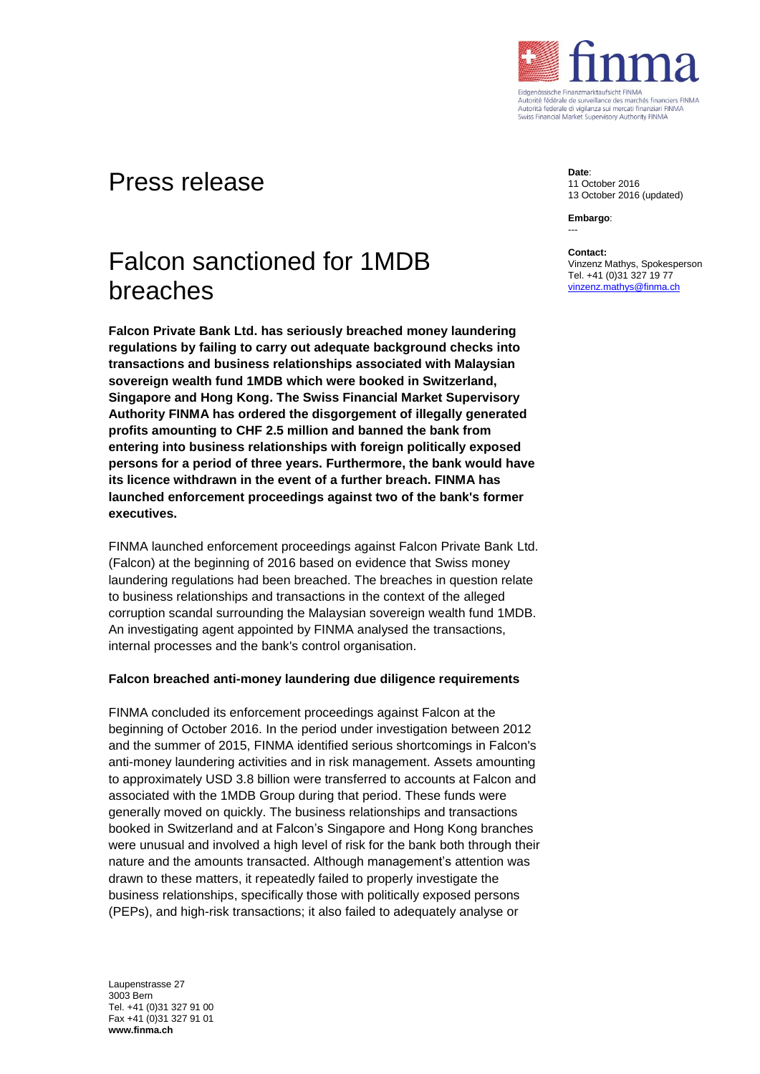

## Press release

# Falcon sanctioned for 1MDB breaches

**Falcon Private Bank Ltd. has seriously breached money laundering regulations by failing to carry out adequate background checks into transactions and business relationships associated with Malaysian sovereign wealth fund 1MDB which were booked in Switzerland, Singapore and Hong Kong. The Swiss Financial Market Supervisory Authority FINMA has ordered the disgorgement of illegally generated profits amounting to CHF 2.5 million and banned the bank from entering into business relationships with foreign politically exposed persons for a period of three years. Furthermore, the bank would have its licence withdrawn in the event of a further breach. FINMA has launched enforcement proceedings against two of the bank's former executives.** 

FINMA launched enforcement proceedings against Falcon Private Bank Ltd. (Falcon) at the beginning of 2016 based on evidence that Swiss money laundering regulations had been breached. The breaches in question relate to business relationships and transactions in the context of the alleged corruption scandal surrounding the Malaysian sovereign wealth fund 1MDB. An investigating agent appointed by FINMA analysed the transactions, internal processes and the bank's control organisation.

#### **Falcon breached anti-money laundering due diligence requirements**

FINMA concluded its enforcement proceedings against Falcon at the beginning of October 2016. In the period under investigation between 2012 and the summer of 2015, FINMA identified serious shortcomings in Falcon's anti-money laundering activities and in risk management. Assets amounting to approximately USD 3.8 billion were transferred to accounts at Falcon and associated with the 1MDB Group during that period. These funds were generally moved on quickly. The business relationships and transactions booked in Switzerland and at Falcon's Singapore and Hong Kong branches were unusual and involved a high level of risk for the bank both through their nature and the amounts transacted. Although management's attention was drawn to these matters, it repeatedly failed to properly investigate the business relationships, specifically those with politically exposed persons (PEPs), and high-risk transactions; it also failed to adequately analyse or

Laupenstrasse 27 3003 Bern Tel. +41 (0)31 327 91 00 Fax +41 (0)31 327 91 01 **www.finma.ch**

**Date**: 11 October 2016 13 October 2016 (updated)

**Embargo**: ---

**Contact:**

Vinzenz Mathys, Spokesperson Tel. +41 (0)31 327 19 77 [vinzenz.mathys@finma.ch](mailto:vinzenz.mathys@finma.ch)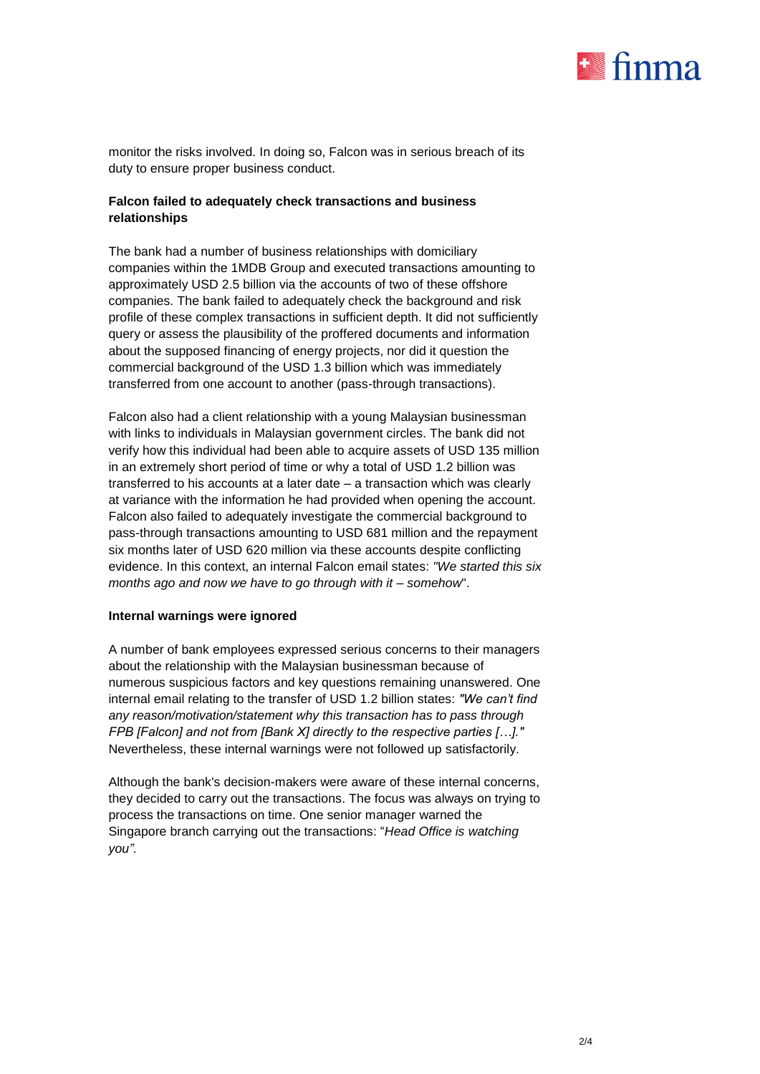

monitor the risks involved. In doing so, Falcon was in serious breach of its duty to ensure proper business conduct.

## **Falcon failed to adequately check transactions and business relationships**

The bank had a number of business relationships with domiciliary companies within the 1MDB Group and executed transactions amounting to approximately USD 2.5 billion via the accounts of two of these offshore companies. The bank failed to adequately check the background and risk profile of these complex transactions in sufficient depth. It did not sufficiently query or assess the plausibility of the proffered documents and information about the supposed financing of energy projects, nor did it question the commercial background of the USD 1.3 billion which was immediately transferred from one account to another (pass-through transactions).

Falcon also had a client relationship with a young Malaysian businessman with links to individuals in Malaysian government circles. The bank did not verify how this individual had been able to acquire assets of USD 135 million in an extremely short period of time or why a total of USD 1.2 billion was transferred to his accounts at a later date – a transaction which was clearly at variance with the information he had provided when opening the account. Falcon also failed to adequately investigate the commercial background to pass-through transactions amounting to USD 681 million and the repayment six months later of USD 620 million via these accounts despite conflicting evidence. In this context, an internal Falcon email states: *"We started this six months ago and now we have to go through with it – somehow*".

#### **Internal warnings were ignored**

A number of bank employees expressed serious concerns to their managers about the relationship with the Malaysian businessman because of numerous suspicious factors and key questions remaining unanswered. One internal email relating to the transfer of USD 1.2 billion states: *"We can't find any reason/motivation/statement why this transaction has to pass through FPB [Falcon] and not from [Bank X] directly to the respective parties […]."* Nevertheless, these internal warnings were not followed up satisfactorily.

Although the bank's decision-makers were aware of these internal concerns, they decided to carry out the transactions. The focus was always on trying to process the transactions on time. One senior manager warned the Singapore branch carrying out the transactions: "*Head Office is watching you".*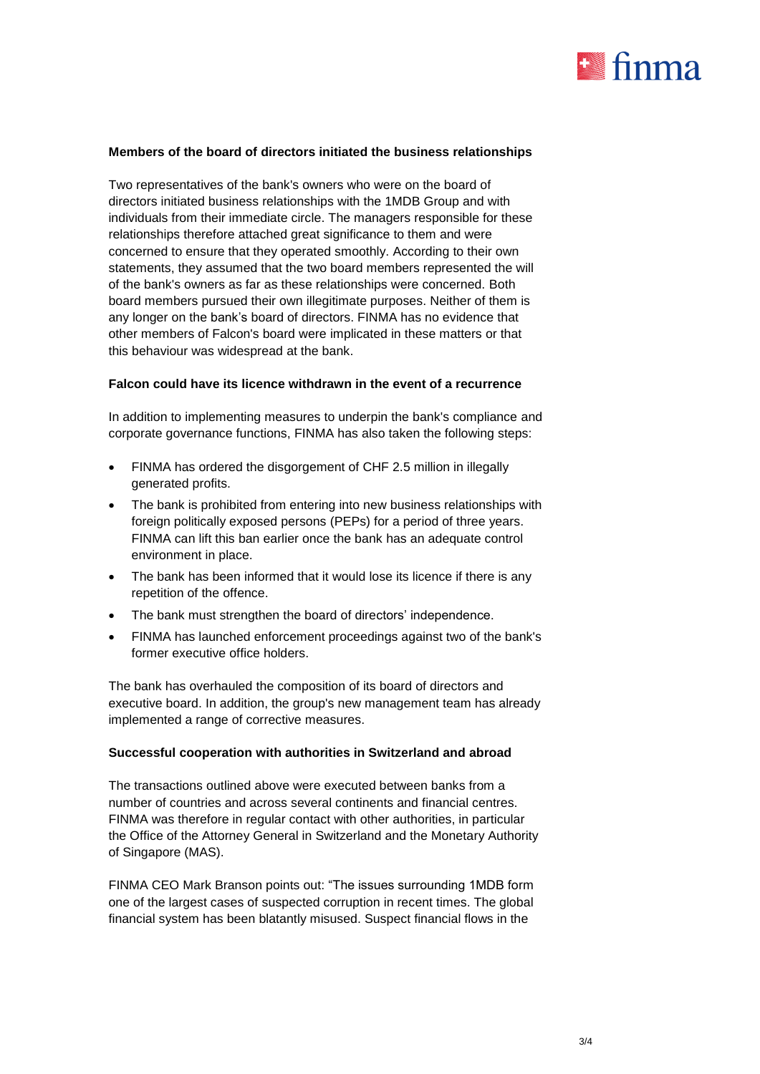

## **Members of the board of directors initiated the business relationships**

Two representatives of the bank's owners who were on the board of directors initiated business relationships with the 1MDB Group and with individuals from their immediate circle. The managers responsible for these relationships therefore attached great significance to them and were concerned to ensure that they operated smoothly. According to their own statements, they assumed that the two board members represented the will of the bank's owners as far as these relationships were concerned. Both board members pursued their own illegitimate purposes. Neither of them is any longer on the bank's board of directors. FINMA has no evidence that other members of Falcon's board were implicated in these matters or that this behaviour was widespread at the bank.

#### **Falcon could have its licence withdrawn in the event of a recurrence**

In addition to implementing measures to underpin the bank's compliance and corporate governance functions, FINMA has also taken the following steps:

- FINMA has ordered the disgorgement of CHF 2.5 million in illegally generated profits.
- The bank is prohibited from entering into new business relationships with foreign politically exposed persons (PEPs) for a period of three years. FINMA can lift this ban earlier once the bank has an adequate control environment in place.
- The bank has been informed that it would lose its licence if there is any repetition of the offence.
- The bank must strengthen the board of directors' independence.
- FINMA has launched enforcement proceedings against two of the bank's former executive office holders.

The bank has overhauled the composition of its board of directors and executive board. In addition, the group's new management team has already implemented a range of corrective measures.

#### **Successful cooperation with authorities in Switzerland and abroad**

The transactions outlined above were executed between banks from a number of countries and across several continents and financial centres. FINMA was therefore in regular contact with other authorities, in particular the Office of the Attorney General in Switzerland and the Monetary Authority of Singapore (MAS).

FINMA CEO Mark Branson points out: "The issues surrounding 1MDB form one of the largest cases of suspected corruption in recent times. The global financial system has been blatantly misused. Suspect financial flows in the